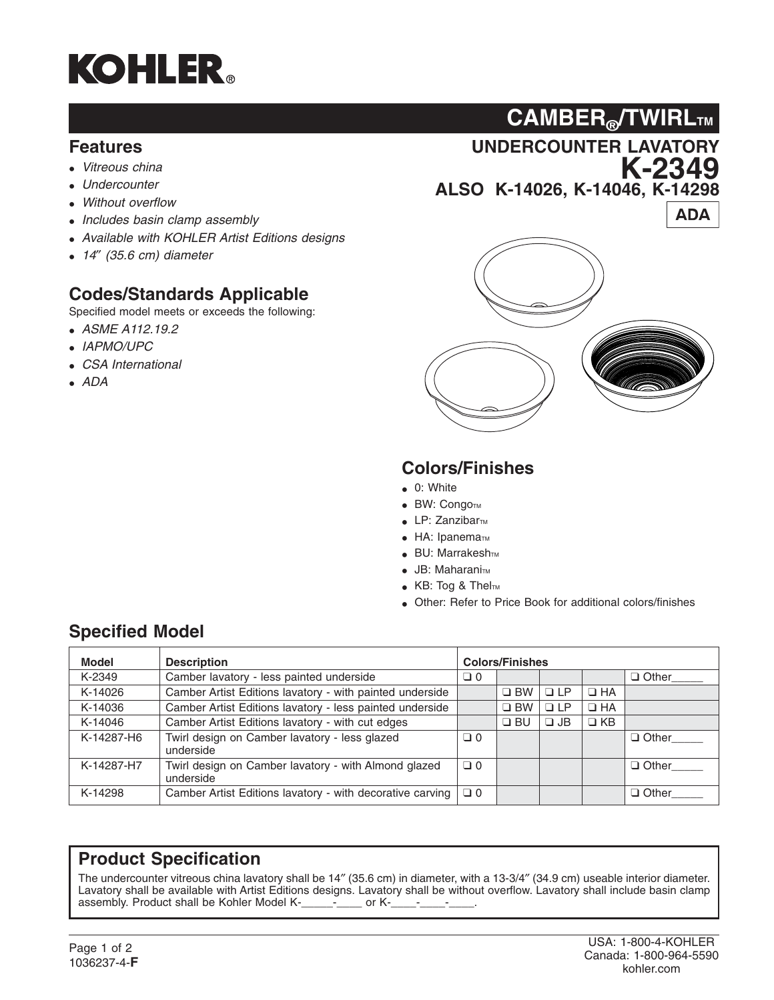

#### **Features**

- *Vitreous china*
- *Undercounter*
- *Without overflow*
- *Includes basin clamp assembly*
- *Available with KOHLER Artist Editions designs*
- *14*″ *(35.6 cm) diameter*

### **Codes/Standards Applicable**

Specified model meets or exceeds the following:

- *ASME A112.19.2*
- *IAPMO/UPC*
- *CSA International*
- *ADA*

**UNDERCOUNTER LAVATORY CAMBER®/TWIRLTM**

**K-2349**

**ALSO K-14026, K-14046, K-14298**

**ADA** 



# **Colors/Finishes**

- 0: White
- $\bullet$  BW: Congo $TM$
- $\bullet$  LP: Zanzibar<sub>TM</sub>
- $\bullet$  HA: Ipanema $\text{TM}$
- **BU: Marrakesh**TM
- $\bullet$  JB: Maharani $\text{Im}$
- KB: Tog & ThelTM
- Other: Refer to Price Book for additional colors/finishes

## **Specified Model**

| <b>Model</b> | <b>Description</b>                                                | <b>Colors/Finishes</b> |              |           |           |              |
|--------------|-------------------------------------------------------------------|------------------------|--------------|-----------|-----------|--------------|
| K-2349       | Camber lavatory - less painted underside                          | $\Box$ 0               |              |           |           | $\Box$ Other |
| K-14026      | Camber Artist Editions lavatory - with painted underside          |                        | $\Box$ BW    | $\Box$ LP | $\Box$ HA |              |
| K-14036      | Camber Artist Editions lavatory - less painted underside          |                        | $\square$ BW | $\Box$ LP | $\Box$ HA |              |
| K-14046      | Camber Artist Editions lavatory - with cut edges                  |                        | $\Box$ BU    | $\Box$ JB | $\Box$ KB |              |
| K-14287-H6   | Twirl design on Camber lavatory - less glazed<br>underside        | $\Box$ 0               |              |           |           | $\Box$ Other |
| K-14287-H7   | Twirl design on Camber lavatory - with Almond glazed<br>underside | $\Box 0$               |              |           |           | $\Box$ Other |
| K-14298      | Camber Artist Editions lavatory - with decorative carving         | $\Box 0$               |              |           |           | $\Box$ Other |

#### **Product Specification**

The undercounter vitreous china lavatory shall be 14″ (35.6 cm) in diameter, with a 13-3/4″ (34.9 cm) useable interior diameter. Lavatory shall be available with Artist Editions designs. Lavatory shall be without overflow. Lavatory shall include basin clamp assembly. Product shall be Kohler Model K-\_\_\_\_\_-\_\_\_\_\_ or K-\_\_